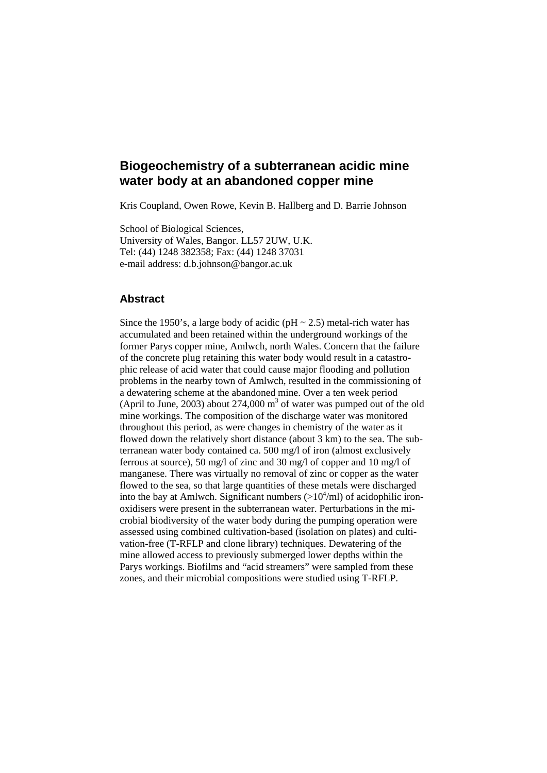# **Biogeochemistry of a subterranean acidic mine water body at an abandoned copper mine**

Kris Coupland, Owen Rowe, Kevin B. Hallberg and D. Barrie Johnson

School of Biological Sciences, University of Wales, Bangor. LL57 2UW, U.K. Tel: (44) 1248 382358; Fax: (44) 1248 37031 e-mail address: d.b.johnson@bangor.ac.uk

## **Abstract**

Since the 1950's, a large body of acidic ( $pH \sim 2.5$ ) metal-rich water has accumulated and been retained within the underground workings of the former Parys copper mine, Amlwch, north Wales. Concern that the failure of the concrete plug retaining this water body would result in a catastrophic release of acid water that could cause major flooding and pollution problems in the nearby town of Amlwch, resulted in the commissioning of a dewatering scheme at the abandoned mine. Over a ten week period (April to June, 2003) about 274,000  $m<sup>3</sup>$  of water was pumped out of the old mine workings. The composition of the discharge water was monitored throughout this period, as were changes in chemistry of the water as it flowed down the relatively short distance (about 3 km) to the sea. The subterranean water body contained ca. 500 mg/l of iron (almost exclusively ferrous at source), 50 mg/l of zinc and 30 mg/l of copper and 10 mg/l of manganese. There was virtually no removal of zinc or copper as the water flowed to the sea, so that large quantities of these metals were discharged into the bay at Amlwch. Significant numbers  $(>10<sup>4</sup>/ml)$  of acidophilic ironoxidisers were present in the subterranean water. Perturbations in the microbial biodiversity of the water body during the pumping operation were assessed using combined cultivation-based (isolation on plates) and cultivation-free (T-RFLP and clone library) techniques. Dewatering of the mine allowed access to previously submerged lower depths within the Parys workings. Biofilms and "acid streamers" were sampled from these zones, and their microbial compositions were studied using T-RFLP.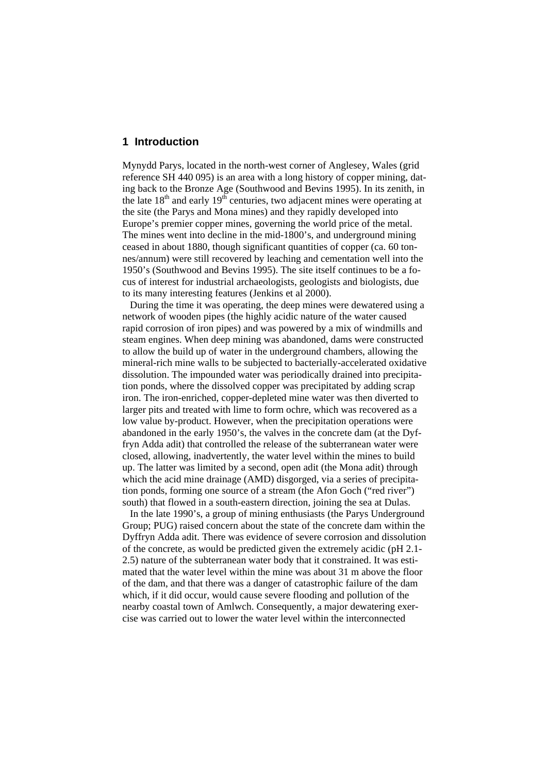#### **1 Introduction**

Mynydd Parys, located in the north-west corner of Anglesey, Wales (grid reference SH 440 095) is an area with a long history of copper mining, dating back to the Bronze Age (Southwood and Bevins 1995). In its zenith, in the late  $18<sup>th</sup>$  and early  $19<sup>th</sup>$  centuries, two adjacent mines were operating at the site (the Parys and Mona mines) and they rapidly developed into Europe's premier copper mines, governing the world price of the metal. The mines went into decline in the mid-1800's, and underground mining ceased in about 1880, though significant quantities of copper (ca. 60 tonnes/annum) were still recovered by leaching and cementation well into the 1950's (Southwood and Bevins 1995). The site itself continues to be a focus of interest for industrial archaeologists, geologists and biologists, due to its many interesting features (Jenkins et al 2000).

 During the time it was operating, the deep mines were dewatered using a network of wooden pipes (the highly acidic nature of the water caused rapid corrosion of iron pipes) and was powered by a mix of windmills and steam engines. When deep mining was abandoned, dams were constructed to allow the build up of water in the underground chambers, allowing the mineral-rich mine walls to be subjected to bacterially-accelerated oxidative dissolution. The impounded water was periodically drained into precipitation ponds, where the dissolved copper was precipitated by adding scrap iron. The iron-enriched, copper-depleted mine water was then diverted to larger pits and treated with lime to form ochre, which was recovered as a low value by-product. However, when the precipitation operations were abandoned in the early 1950's, the valves in the concrete dam (at the Dyffryn Adda adit) that controlled the release of the subterranean water were closed, allowing, inadvertently, the water level within the mines to build up. The latter was limited by a second, open adit (the Mona adit) through which the acid mine drainage (AMD) disgorged, via a series of precipitation ponds, forming one source of a stream (the Afon Goch ("red river") south) that flowed in a south-eastern direction, joining the sea at Dulas.

 In the late 1990's, a group of mining enthusiasts (the Parys Underground Group; PUG) raised concern about the state of the concrete dam within the Dyffryn Adda adit. There was evidence of severe corrosion and dissolution of the concrete, as would be predicted given the extremely acidic (pH 2.1- 2.5) nature of the subterranean water body that it constrained. It was estimated that the water level within the mine was about 31 m above the floor of the dam, and that there was a danger of catastrophic failure of the dam which, if it did occur, would cause severe flooding and pollution of the nearby coastal town of Amlwch. Consequently, a major dewatering exercise was carried out to lower the water level within the interconnected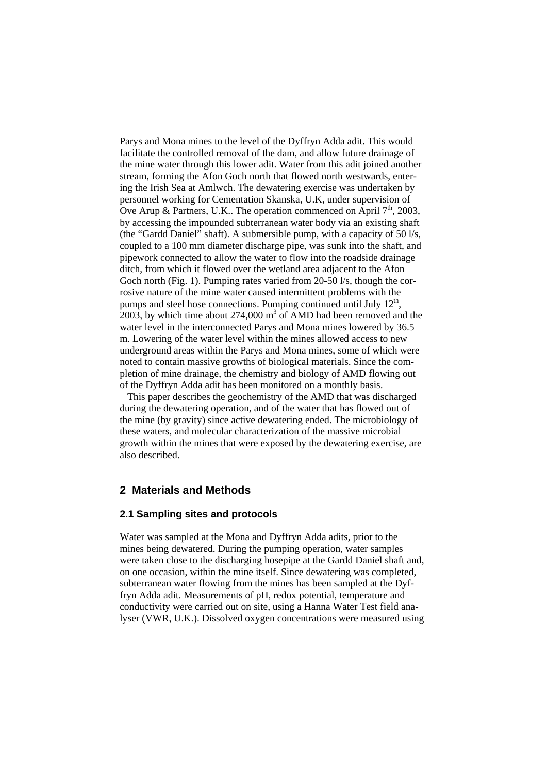Parys and Mona mines to the level of the Dyffryn Adda adit. This would facilitate the controlled removal of the dam, and allow future drainage of the mine water through this lower adit. Water from this adit joined another stream, forming the Afon Goch north that flowed north westwards, entering the Irish Sea at Amlwch. The dewatering exercise was undertaken by personnel working for Cementation Skanska, U.K, under supervision of Ove Arup & Partners, U.K.. The operation commenced on April  $7<sup>th</sup>$ , 2003, by accessing the impounded subterranean water body via an existing shaft (the "Gardd Daniel" shaft). A submersible pump, with a capacity of 50 l/s, coupled to a 100 mm diameter discharge pipe, was sunk into the shaft, and pipework connected to allow the water to flow into the roadside drainage ditch, from which it flowed over the wetland area adjacent to the Afon Goch north (Fig. 1). Pumping rates varied from 20-50 l/s, though the corrosive nature of the mine water caused intermittent problems with the pumps and steel hose connections. Pumping continued until July  $12<sup>th</sup>$ ,  $2003$ , by which time about 274,000 m<sup>3</sup> of AMD had been removed and the water level in the interconnected Parys and Mona mines lowered by 36.5 m. Lowering of the water level within the mines allowed access to new underground areas within the Parys and Mona mines, some of which were noted to contain massive growths of biological materials. Since the completion of mine drainage, the chemistry and biology of AMD flowing out of the Dyffryn Adda adit has been monitored on a monthly basis.

 This paper describes the geochemistry of the AMD that was discharged during the dewatering operation, and of the water that has flowed out of the mine (by gravity) since active dewatering ended. The microbiology of these waters, and molecular characterization of the massive microbial growth within the mines that were exposed by the dewatering exercise, are also described.

# **2 Materials and Methods**

## **2.1 Sampling sites and protocols**

Water was sampled at the Mona and Dyffryn Adda adits, prior to the mines being dewatered. During the pumping operation, water samples were taken close to the discharging hosepipe at the Gardd Daniel shaft and, on one occasion, within the mine itself. Since dewatering was completed, subterranean water flowing from the mines has been sampled at the Dyffryn Adda adit. Measurements of pH, redox potential, temperature and conductivity were carried out on site, using a Hanna Water Test field analyser (VWR, U.K.). Dissolved oxygen concentrations were measured using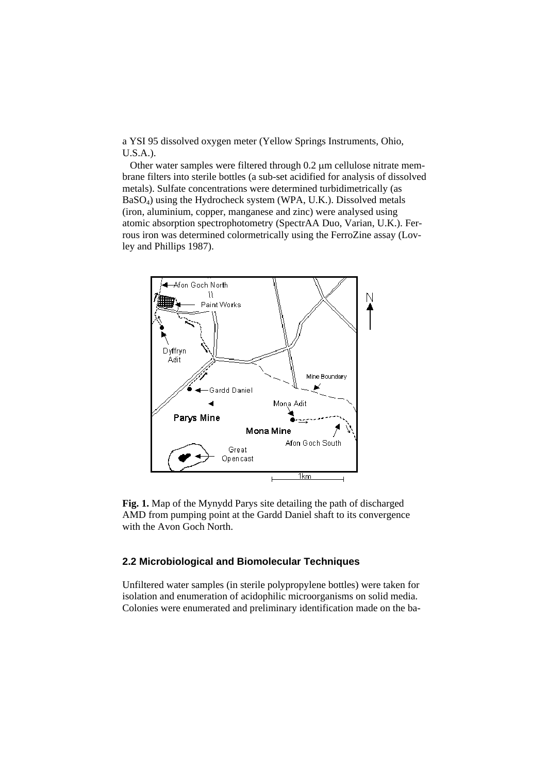a YSI 95 dissolved oxygen meter (Yellow Springs Instruments, Ohio, U.S.A.).

 Other water samples were filtered through 0.2 μm cellulose nitrate membrane filters into sterile bottles (a sub-set acidified for analysis of dissolved metals). Sulfate concentrations were determined turbidimetrically (as BaSO4) using the Hydrocheck system (WPA, U.K.). Dissolved metals (iron, aluminium, copper, manganese and zinc) were analysed using atomic absorption spectrophotometry (SpectrAA Duo, Varian, U.K.). Ferrous iron was determined colormetrically using the FerroZine assay (Lovley and Phillips 1987).



**Fig. 1.** Map of the Mynydd Parys site detailing the path of discharged AMD from pumping point at the Gardd Daniel shaft to its convergence with the Avon Goch North.

## **2.2 Microbiological and Biomolecular Techniques**

Unfiltered water samples (in sterile polypropylene bottles) were taken for isolation and enumeration of acidophilic microorganisms on solid media. Colonies were enumerated and preliminary identification made on the ba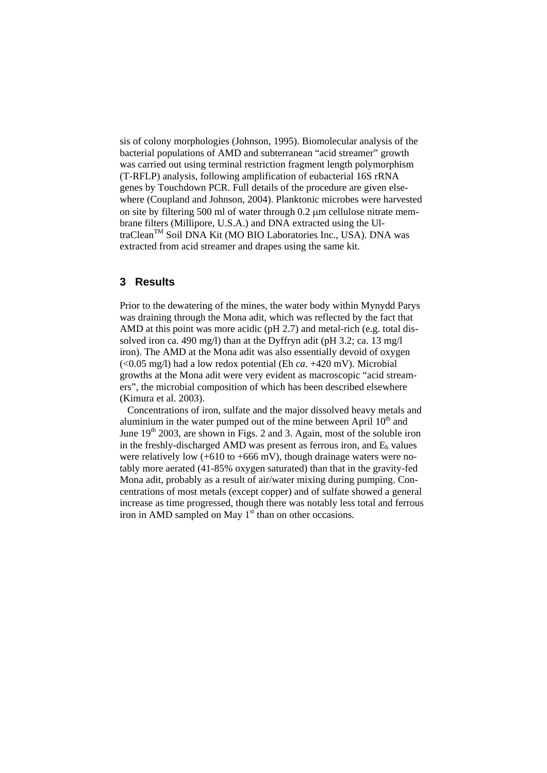sis of colony morphologies (Johnson, 1995). Biomolecular analysis of the bacterial populations of AMD and subterranean "acid streamer" growth was carried out using terminal restriction fragment length polymorphism (T-RFLP) analysis, following amplification of eubacterial 16S rRNA genes by Touchdown PCR. Full details of the procedure are given elsewhere (Coupland and Johnson, 2004). Planktonic microbes were harvested on site by filtering 500 ml of water through 0.2 μm cellulose nitrate membrane filters (Millipore, U.S.A.) and DNA extracted using the UltraClean<sup>TM</sup> Soil DNA Kit (MO BIO Laboratories Inc., USA). DNA was extracted from acid streamer and drapes using the same kit.

# **3 Results**

Prior to the dewatering of the mines, the water body within Mynydd Parys was draining through the Mona adit, which was reflected by the fact that AMD at this point was more acidic (pH 2.7) and metal-rich (e.g. total dissolved iron ca. 490 mg/l) than at the Dyffryn adit (pH 3.2; ca. 13 mg/l iron). The AMD at the Mona adit was also essentially devoid of oxygen (<0.05 mg/l) had a low redox potential (Eh *ca*. +420 mV). Microbial growths at the Mona adit were very evident as macroscopic "acid streamers", the microbial composition of which has been described elsewhere (Kimura et al. 2003).

 Concentrations of iron, sulfate and the major dissolved heavy metals and aluminium in the water pumped out of the mine between April  $10<sup>th</sup>$  and June  $19<sup>th</sup>$  2003, are shown in Figs. 2 and 3. Again, most of the soluble iron in the freshly-discharged AMD was present as ferrous iron, and  $E<sub>h</sub>$  values were relatively low  $(+610 \text{ to } +666 \text{ mV})$ , though drainage waters were notably more aerated (41-85% oxygen saturated) than that in the gravity-fed Mona adit, probably as a result of air/water mixing during pumping. Concentrations of most metals (except copper) and of sulfate showed a general increase as time progressed, though there was notably less total and ferrous iron in AMD sampled on May  $1<sup>st</sup>$  than on other occasions.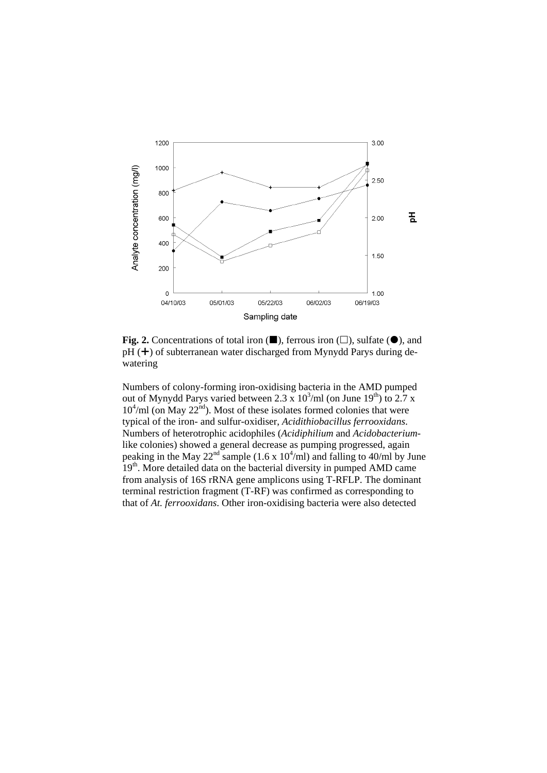

**Fig. 2.** Concentrations of total iron  $(\blacksquare)$ , ferrous iron  $(\square)$ , sulfate  $(\lozenge)$ , and  $pH$  ( $\pm$ ) of subterranean water discharged from Mynydd Parys during dewatering

Numbers of colony-forming iron-oxidising bacteria in the AMD pumped out of Mynydd Parys varied between 2.3 x  $10^3$ /ml (on June  $19^{th}$ ) to 2.7 x  $10^4$ /ml (on May 22<sup>nd</sup>). Most of these isolates formed colonies that were typical of the iron- and sulfur-oxidiser, *Acidithiobacillus ferrooxidans*. Numbers of heterotrophic acidophiles (*Acidiphilium* and *Acidobacterium*like colonies) showed a general decrease as pumping progressed, again peaking in the May  $22^{nd}$  sample (1.6 x 10<sup>4</sup>/ml) and falling to 40/ml by June 19<sup>th</sup>. More detailed data on the bacterial diversity in pumped AMD came from analysis of 16S rRNA gene amplicons using T-RFLP. The dominant terminal restriction fragment (T-RF) was confirmed as corresponding to that of *At. ferrooxidans*. Other iron-oxidising bacteria were also detected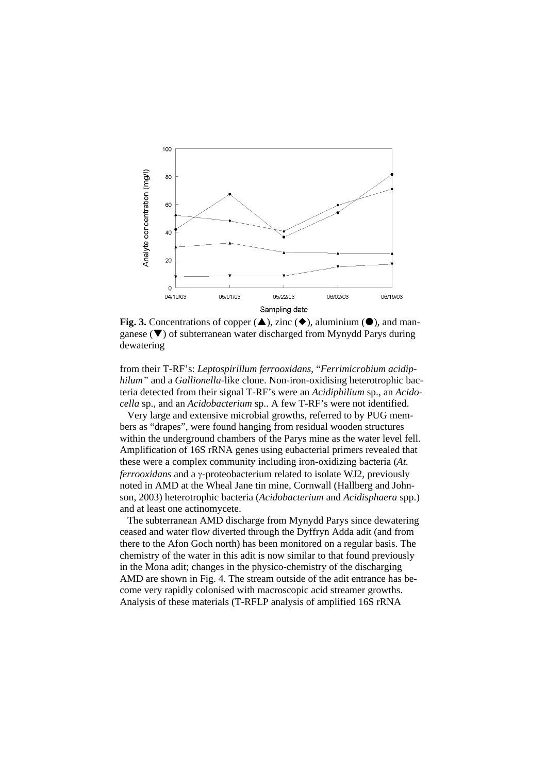

**Fig. 3.** Concentrations of copper  $(\triangle)$ , zinc  $(\triangle)$ , aluminium  $(\triangle)$ , and manganese  $(\blacktriangledown)$  of subterranean water discharged from Mynydd Parys during dewatering

from their T-RF's: *Leptospirillum ferrooxidans*, "*Ferrimicrobium acidiphilum"* and a *Gallionella*-like clone. Non-iron-oxidising heterotrophic bacteria detected from their signal T-RF's were an *Acidiphilium* sp., an *Acidocella* sp., and an *Acidobacterium* sp.. A few T-RF's were not identified.

 Very large and extensive microbial growths, referred to by PUG members as "drapes", were found hanging from residual wooden structures within the underground chambers of the Parys mine as the water level fell. Amplification of 16S rRNA genes using eubacterial primers revealed that these were a complex community including iron-oxidizing bacteria (*At. ferrooxidans* and a γ-proteobacterium related to isolate WJ2, previously noted in AMD at the Wheal Jane tin mine, Cornwall (Hallberg and Johnson, 2003) heterotrophic bacteria (*Acidobacterium* and *Acidisphaera* spp.) and at least one actinomycete.

 The subterranean AMD discharge from Mynydd Parys since dewatering ceased and water flow diverted through the Dyffryn Adda adit (and from there to the Afon Goch north) has been monitored on a regular basis. The chemistry of the water in this adit is now similar to that found previously in the Mona adit; changes in the physico-chemistry of the discharging AMD are shown in Fig. 4. The stream outside of the adit entrance has become very rapidly colonised with macroscopic acid streamer growths. Analysis of these materials (T-RFLP analysis of amplified 16S rRNA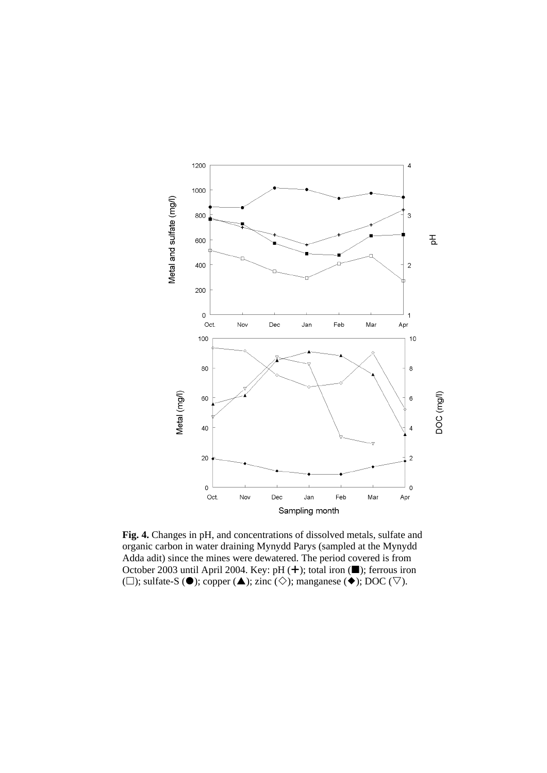

**Fig. 4.** Changes in pH, and concentrations of dissolved metals, sulfate and organic carbon in water draining Mynydd Parys (sampled at the Mynydd Adda adit) since the mines were dewatered. The period covered is from October 2003 until April 2004. Key: pH  $(+)$ ; total iron ( $\blacksquare$ ); ferrous iron ( $\square$ ); sulfate-S ( $\bullet$ ); copper ( $\blacktriangle$ ); zinc ( $\diamondsuit$ ); manganese ( $\bullet$ ); DOC ( $\nabla$ ).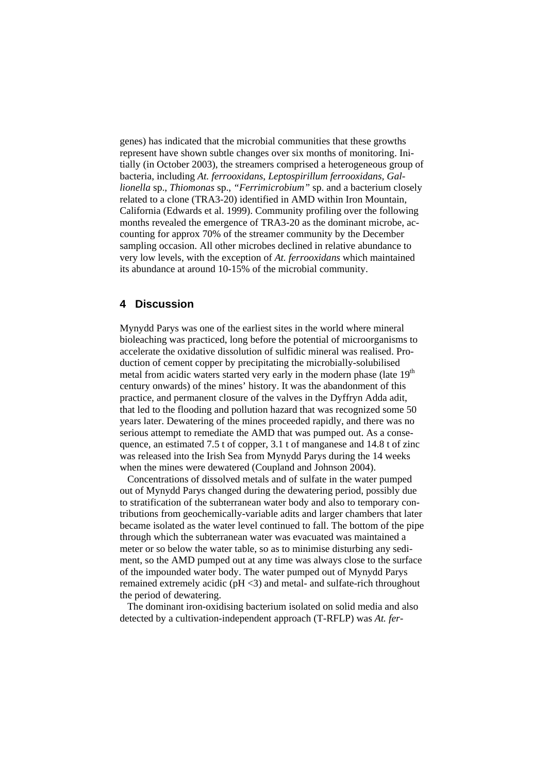genes) has indicated that the microbial communities that these growths represent have shown subtle changes over six months of monitoring. Initially (in October 2003), the streamers comprised a heterogeneous group of bacteria, including *At. ferrooxidans*, *Leptospirillum ferrooxidans, Gallionella* sp., *Thiomonas* sp., *"Ferrimicrobium"* sp. and a bacterium closely related to a clone (TRA3-20) identified in AMD within Iron Mountain, California (Edwards et al. 1999). Community profiling over the following months revealed the emergence of TRA3-20 as the dominant microbe, accounting for approx 70% of the streamer community by the December sampling occasion. All other microbes declined in relative abundance to very low levels, with the exception of *At. ferrooxidans* which maintained its abundance at around 10-15% of the microbial community.

# **4 Discussion**

Mynydd Parys was one of the earliest sites in the world where mineral bioleaching was practiced, long before the potential of microorganisms to accelerate the oxidative dissolution of sulfidic mineral was realised. Production of cement copper by precipitating the microbially-solubilised metal from acidic waters started very early in the modern phase (late  $19<sup>th</sup>$ century onwards) of the mines' history. It was the abandonment of this practice, and permanent closure of the valves in the Dyffryn Adda adit, that led to the flooding and pollution hazard that was recognized some 50 years later. Dewatering of the mines proceeded rapidly, and there was no serious attempt to remediate the AMD that was pumped out. As a consequence, an estimated 7.5 t of copper, 3.1 t of manganese and 14.8 t of zinc was released into the Irish Sea from Mynydd Parys during the 14 weeks when the mines were dewatered (Coupland and Johnson 2004).

 Concentrations of dissolved metals and of sulfate in the water pumped out of Mynydd Parys changed during the dewatering period, possibly due to stratification of the subterranean water body and also to temporary contributions from geochemically-variable adits and larger chambers that later became isolated as the water level continued to fall. The bottom of the pipe through which the subterranean water was evacuated was maintained a meter or so below the water table, so as to minimise disturbing any sediment, so the AMD pumped out at any time was always close to the surface of the impounded water body. The water pumped out of Mynydd Parys remained extremely acidic (pH <3) and metal- and sulfate-rich throughout the period of dewatering.

 The dominant iron-oxidising bacterium isolated on solid media and also detected by a cultivation-independent approach (T-RFLP) was *At. fer-*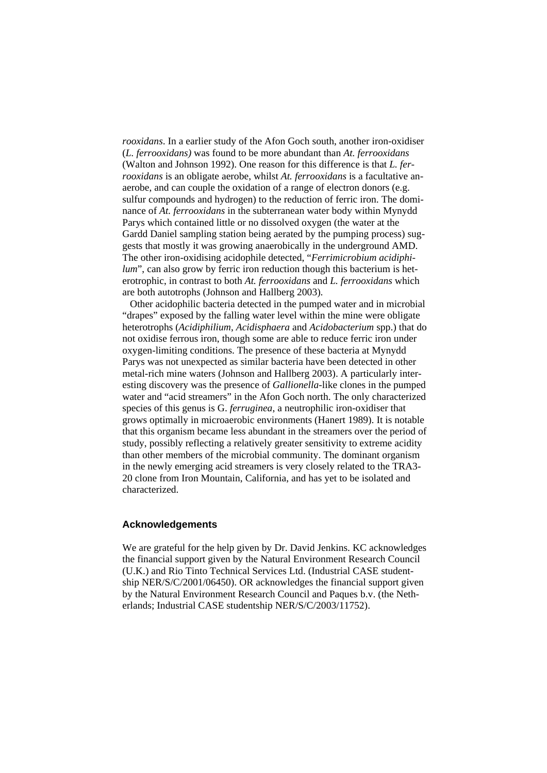*rooxidans*. In a earlier study of the Afon Goch south, another iron-oxidiser (*L. ferrooxidans)* was found to be more abundant than *At. ferrooxidans* (Walton and Johnson 1992). One reason for this difference is that *L. ferrooxidans* is an obligate aerobe, whilst *At. ferrooxidans* is a facultative anaerobe, and can couple the oxidation of a range of electron donors (e.g. sulfur compounds and hydrogen) to the reduction of ferric iron. The dominance of *At. ferrooxidans* in the subterranean water body within Mynydd Parys which contained little or no dissolved oxygen (the water at the Gardd Daniel sampling station being aerated by the pumping process) suggests that mostly it was growing anaerobically in the underground AMD. The other iron-oxidising acidophile detected, "*Ferrimicrobium acidiphilum*", can also grow by ferric iron reduction though this bacterium is heterotrophic, in contrast to both *At. ferrooxidans* and *L. ferrooxidans* which are both autotrophs (Johnson and Hallberg 2003).

 Other acidophilic bacteria detected in the pumped water and in microbial "drapes" exposed by the falling water level within the mine were obligate heterotrophs (*Acidiphilium*, *Acidisphaera* and *Acidobacterium* spp.) that do not oxidise ferrous iron, though some are able to reduce ferric iron under oxygen-limiting conditions. The presence of these bacteria at Mynydd Parys was not unexpected as similar bacteria have been detected in other metal-rich mine waters (Johnson and Hallberg 2003). A particularly interesting discovery was the presence of *Gallionella*-like clones in the pumped water and "acid streamers" in the Afon Goch north. The only characterized species of this genus is G. *ferruginea*, a neutrophilic iron-oxidiser that grows optimally in microaerobic environments (Hanert 1989). It is notable that this organism became less abundant in the streamers over the period of study, possibly reflecting a relatively greater sensitivity to extreme acidity than other members of the microbial community. The dominant organism in the newly emerging acid streamers is very closely related to the TRA3- 20 clone from Iron Mountain, California, and has yet to be isolated and characterized.

#### **Acknowledgements**

We are grateful for the help given by Dr. David Jenkins. KC acknowledges the financial support given by the Natural Environment Research Council (U.K.) and Rio Tinto Technical Services Ltd. (Industrial CASE studentship NER/S/C/2001/06450). OR acknowledges the financial support given by the Natural Environment Research Council and Paques b.v. (the Netherlands; Industrial CASE studentship NER/S/C/2003/11752).